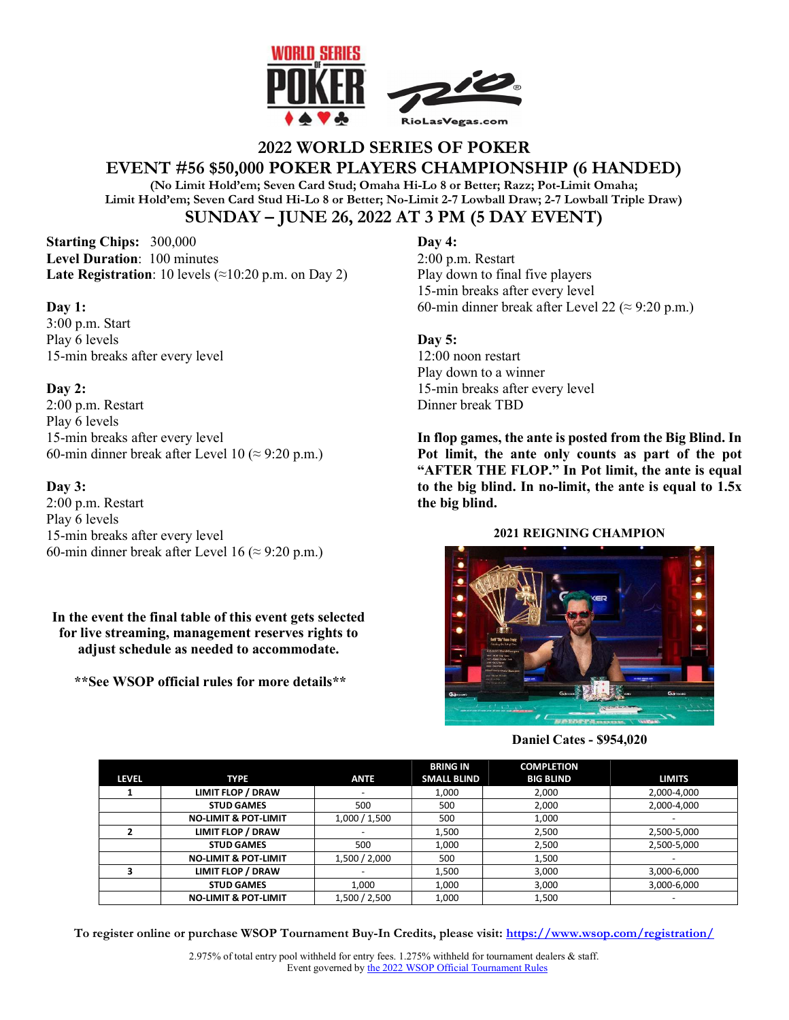

# **2022 WORLD SERIES OF POKER EVENT #56 \$50,000 POKER PLAYERS CHAMPIONSHIP (6 HANDED)**

**(No Limit Hold'em; Seven Card Stud; Omaha Hi-Lo 8 or Better; Razz; Pot-Limit Omaha; Limit Hold'em; Seven Card Stud Hi-Lo 8 or Better; No-Limit 2-7 Lowball Draw; 2-7 Lowball Triple Draw) SUNDAY – JUNE 26, 2022 AT 3 PM (5 DAY EVENT)** 

**Starting Chips:** 300,000 **Level Duration**: 100 minutes **Late Registration**: 10 levels  $(\approx 10:20 \text{ p.m. on Day 2})$ 

### **Day 1:**

3:00 p.m. Start Play 6 levels 15-min breaks after every level

## **Day 2:**

2:00 p.m. Restart Play 6 levels 15-min breaks after every level 60-min dinner break after Level 10 ( $\approx$  9:20 p.m.)

## **Day 3:**

2:00 p.m. Restart Play 6 levels 15-min breaks after every level 60-min dinner break after Level 16 ( $\approx$  9:20 p.m.)

## **In the event the final table of this event gets selected for live streaming, management reserves rights to adjust schedule as needed to accommodate.**

 **\*\*See WSOP official rules for more details\*\***

## **Day 4:**

2:00 p.m. Restart Play down to final five players 15-min breaks after every level 60-min dinner break after Level 22 ( $\approx$  9:20 p.m.)

## **Day 5:**

12:00 noon restart Play down to a winner 15-min breaks after every level Dinner break TBD

**In flop games, the ante is posted from the Big Blind. In Pot limit, the ante only counts as part of the pot "AFTER THE FLOP." In Pot limit, the ante is equal to the big blind. In no-limit, the ante is equal to 1.5x the big blind.** 

### **2021 REIGNING CHAMPION**



### **Daniel Cates - \$954,020**

|              |                                 |               | <b>BRING IN</b>    | <b>COMPLETION</b> |               |
|--------------|---------------------------------|---------------|--------------------|-------------------|---------------|
| <b>LEVEL</b> | <b>TYPE</b>                     | <b>ANTE</b>   | <b>SMALL BLIND</b> | <b>BIG BLIND</b>  | <b>LIMITS</b> |
|              | LIMIT FLOP / DRAW               |               | 1.000              | 2,000             | 2,000-4,000   |
|              | <b>STUD GAMES</b>               | 500           | 500                | 2,000             | 2,000-4,000   |
|              | <b>NO-LIMIT &amp; POT-LIMIT</b> | 1,000 / 1,500 | 500                | 1,000             |               |
|              | <b>LIMIT FLOP / DRAW</b>        |               | 1,500              | 2.500             | 2,500-5,000   |
|              | <b>STUD GAMES</b>               | 500           | 1.000              | 2,500             | 2,500-5,000   |
|              | <b>NO-LIMIT &amp; POT-LIMIT</b> | 1,500 / 2,000 | 500                | 1,500             |               |
|              | <b>LIMIT FLOP / DRAW</b>        |               | 1,500              | 3,000             | 3,000-6,000   |
|              | <b>STUD GAMES</b>               | 1.000         | 1.000              | 3,000             | 3,000-6,000   |
|              | <b>NO-LIMIT &amp; POT-LIMIT</b> | 1,500 / 2,500 | 1,000              | 1,500             |               |

**To register online or purchase WSOP Tournament Buy-In Credits, please visit: https://www.wsop.com/registration/**

2.975% of total entry pool withheld for entry fees. 1.275% withheld for tournament dealers & staff. Event governed by the 2022 WSOP Official Tournament Rules